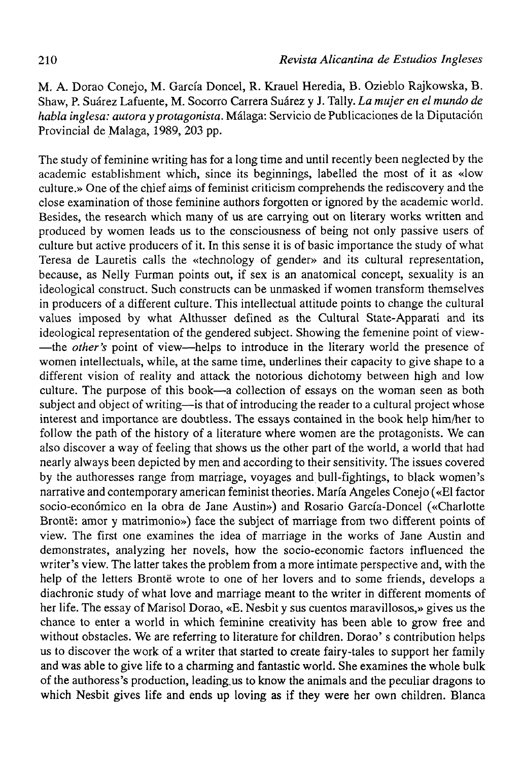M. A. Dorao Conejo, M. García Doncel, R. Krauel Heredia, B. Ozieblo Rajkowska, B. Shaw, P. Suárez Lafuente, M. Socorro Carrera Suárez y J. Tally. *La mujer en el mundo de habla inglesa: autora y protagonista.* Málaga: Servicio de Publicaciones de la Diputación Provincial de Malaga, 1989, 203 pp.

The study of feminine writing has for a long time and until recently been neglected by the academic establishment which, since its beginnings, labelled the most of it as «low culture.» One of the chief aims of feminist criticism comprehends the rediscovery and the close examination of those feminine authors forgotten or ignored by the academic world. Besides, the research which many of us are carrying out on literary works written and produced by women leads us to the consciousness of being not only passive users of culture but active producers of it. In this sense it is of basic importance the study of what Teresa de Lauretis calis the «technology of gender» and its cultural representation, because, as Nelly Furman points out, if sex is an anatomical concept, sexuality is an ideological construct. Such constructs can be unmasked if women transform themselves in producers of a different culture. This intellectual attitude points to change the cultural valúes imposed by what Althusser defined as the Cultural State-Apparati and its ideological representation of the gendered subject. Showing the femenine point of view- —the *other's* point of view—helps to introduce in the literary world the presence of women intellectuals, while, at the same time, underlines their capacity to give shape to a different vision of reality and attack the notorious dichotomy between high and low culture. The purpose of this book—a collection of essays on the woman seen as both subject and object of writing—is that of introducing the reader to a cultural project whose interest and importance are doubtless. The essays contained in the book help him/her to follow the path of the history of a literature where women are the protagonists. We can also discover a way of feeling that shows us the other part of the world, a world that had nearly always been depicted by men and according to their sensitivity. The issues covered by the authoresses range from marriage, voyages and bull-fightings, to black women's narrative and contemporary american feminist theories. María Angeles Conejo («El factor socio-económico en la obra de Jane Austin») and Rosario García-Doncel («Charlotte Bronté: amor y matrimonio») face the subject of marriage from two different points of view. The first one examines the idea of marriage in the works of Jane Austin and demonstrates, analyzing her novels, how the socio-economic factors influenced the writer's view. The latter takes the problem from a more intímate perspective and, with the help of the letters Bronté wrote to one of her lovers and to some friends, develops a diachronic study of what love and marriage meant to the writer in different moments of her life. The essay of Marisol Dorao, «E. Nesbit y sus cuentos maravillosos,» gives us the chance to enter a world in which feminine creativity has been able to grow free and without obstacles. We are referring to literature for children. Dorao' s contribution helps us to discover the work of a writer that started to create fairy-tales to support her family and was able to give life to a charming and fantastic world. She examines the whole bulk of the authoress's production, leading.us to know the animáis and the peculiar dragons to which Nesbit gives life and ends up loving as if they were her own children. Blanca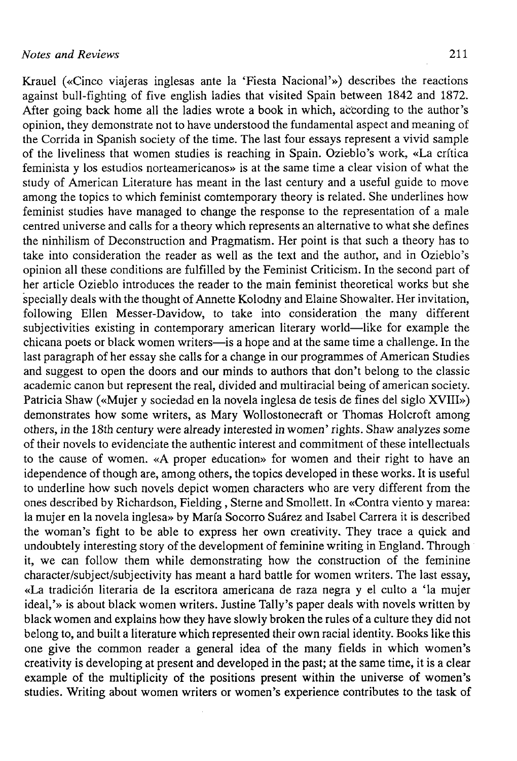Krauel («Cinco viajeras inglesas ante la 'Fiesta Nacional'») describes the reactions against bull-fighting of five english ladies that visited Spain between 1842 and 1872. After going back home all the ladies wrote a book in which, according to the author's opinion, they demonstrate not to have understood the fundamental aspect and meaning of the Corrida in Spanish society of the time. The last four essays represent a vivid sample of the liveliness that women studies is reaching in Spain. Ozieblo's work, «La crítica feminista y los estudios norteamericanos» is at the same time a clear visión of what the study of American Literature has meant in the last century and a useful guide to move among the topics to which feminist comtemporary theory is related. She underlines how feminist studies have managed to change the response to the representation of a male centred universe and calis for a theory which represents an alternative to what she defines the ninhilism of Deconstruction and Pragmatism. Her point is that such a theory has to take into consideration the reader as well as the text and the author, and in Ozieblo's opinión all these conditions are fulfilled by the Feminist Criticism. In the second part of her article Ozieblo introduces the reader to the main feminist theoretical works but she specially deals with the thought of Annette Kolodny and Elaine Showalter. Her invitation, following Ellen Messer-Davidow, to take into consideration the many different subjectivities existing in contemporary american literary world—like for example the chicana poets or black women writers—is a hope and at the same time a challenge. In the last paragraph of her essay she calis for a change in our programmes of American Studies and suggest to open the doors and our minds to authors that don't belong to the classic academic canon but represent the real, divided and multiracial being of american society. Patricia Shaw («Mujer y sociedad en la novela inglesa de tesis de fines del siglo XVIII») demonstrates how some writers, as Mary Wollostonecraft or Thomas Holcroft among others, in the 18th century were already interested in women' rights. Shaw analyzes some of their novels to evidenciate the authentic interest and commitment of these intellectuals to the cause of women. «A proper education» for women and their right to have an idependence of though are, among others, the topics developed in these works. It is useful to underline how such novéis depict women characters who are very different from the ones described by Richardson, Fielding, Sterne and Smollett. In «Contra viento y marea: la mujer en la novela inglesa» by María Socorro Suárez and Isabel Carrera it is described the woman's fight to be able to express her own creativity. They trace a quick and undoubtely interesting story of the development of feminine writing in England. Through it, we can follow them while demonstrating how the construction of the feminine character/subject/subjectivity has meant a hard battle for women writers. The last essay, «La tradición literaria de la escritora americana de raza negra y el culto a 'la mujer ideal,'» is about black women writers. Justine Tally's paper deals with novéis written by black women and explains how they have slowly broken the rules of a culture they did not belong to, and built a literature which represented their own racial identity. Books like this one give the common reader a general idea of the many fields in which women's crit give the common reater a general need of the many flettes in which women's example of the multiplicity of the positions present within the universe of women's studies. Writing about women writers or women's experience contributes to the task of